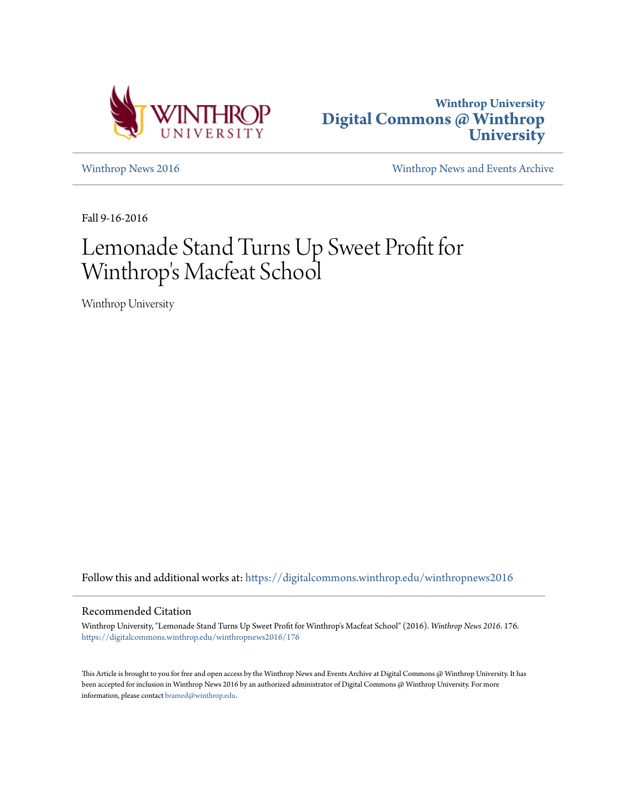



[Winthrop News 2016](https://digitalcommons.winthrop.edu/winthropnews2016?utm_source=digitalcommons.winthrop.edu%2Fwinthropnews2016%2F176&utm_medium=PDF&utm_campaign=PDFCoverPages) [Winthrop News and Events Archive](https://digitalcommons.winthrop.edu/winthropnewsarchives?utm_source=digitalcommons.winthrop.edu%2Fwinthropnews2016%2F176&utm_medium=PDF&utm_campaign=PDFCoverPages)

Fall 9-16-2016

# Lemonade Stand Turns Up Sweet Profit for Winthrop 's Macfeat School

Winthrop University

Follow this and additional works at: [https://digitalcommons.winthrop.edu/winthropnews2016](https://digitalcommons.winthrop.edu/winthropnews2016?utm_source=digitalcommons.winthrop.edu%2Fwinthropnews2016%2F176&utm_medium=PDF&utm_campaign=PDFCoverPages)

### Recommended Citation

Winthrop University, "Lemonade Stand Turns Up Sweet Profit for Winthrop's Macfeat School" (2016). *Winthrop News 2016*. 176. [https://digitalcommons.winthrop.edu/winthropnews2016/176](https://digitalcommons.winthrop.edu/winthropnews2016/176?utm_source=digitalcommons.winthrop.edu%2Fwinthropnews2016%2F176&utm_medium=PDF&utm_campaign=PDFCoverPages)

This Article is brought to you for free and open access by the Winthrop News and Events Archive at Digital Commons @ Winthrop University. It has been accepted for inclusion in Winthrop News 2016 by an authorized administrator of Digital Commons @ Winthrop University. For more information, please contact [bramed@winthrop.edu](mailto:bramed@winthrop.edu).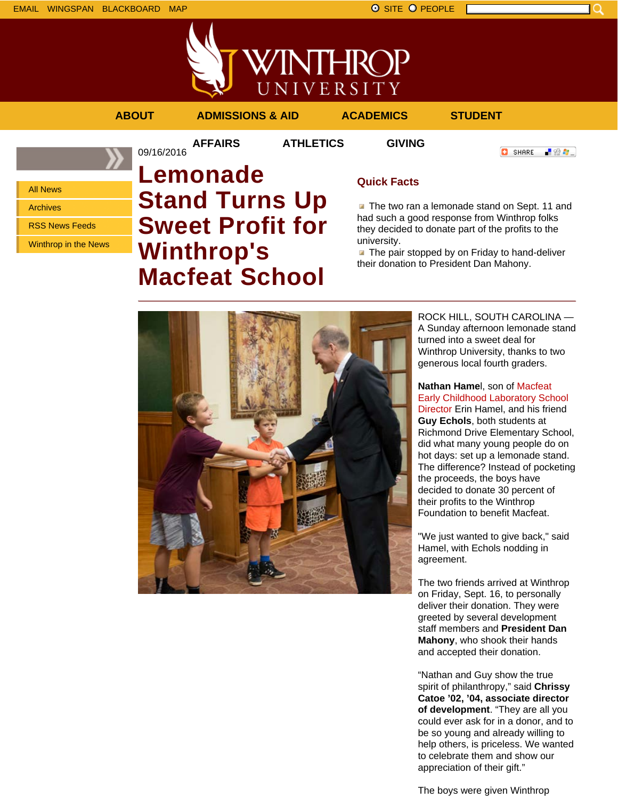



**AFFAIRS ATHLETICS GIVING**

09/16/2016

**ABOUT ADMISSIONS & AID ACADEMICS STUDENT**

**O** SHARE

■ 80 ●

All News Archives RSS News Feeds

Winthrop in the News

# **Lemonade Stand Turns Up Sweet Profit for Winthrop's Macfeat School**

## **Quick Facts**

The two ran a lemonade stand on Sept. 11 and had such a good response from Winthrop folks they decided to donate part of the profits to the university.

 $\blacksquare$  The pair stopped by on Friday to hand-deliver their donation to President Dan Mahony.



ROCK HILL, SOUTH CAROLINA — A Sunday afternoon lemonade stand turned into a sweet deal for Winthrop University, thanks to two generous local fourth graders.

### **Nathan Hame**l, son of Macfeat Early Childhood Laboratory School Director Erin Hamel, and his friend

**Guy Echols**, both students at Richmond Drive Elementary School, did what many young people do on hot days: set up a lemonade stand. The difference? Instead of pocketing the proceeds, the boys have decided to donate 30 percent of their profits to the Winthrop Foundation to benefit Macfeat.

"We just wanted to give back," said Hamel, with Echols nodding in agreement.

The two friends arrived at Winthrop on Friday, Sept. 16, to personally deliver their donation. They were greeted by several development staff members and **President Dan Mahony**, who shook their hands and accepted their donation.

"Nathan and Guy show the true spirit of philanthropy," said **Chrissy Catoe '02, '04, associate director of development**. "They are all you could ever ask for in a donor, and to be so young and already willing to help others, is priceless. We wanted to celebrate them and show our appreciation of their gift."

The boys were given Winthrop